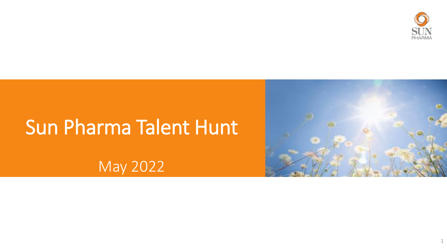

# Sun Pharma Talent Hunt

May 2022

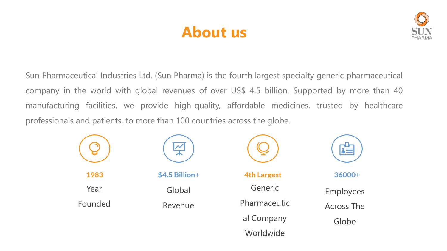# **About us**



Sun Pharmaceutical Industries Ltd. (Sun Pharma) is the fourth largest specialty generic pharmaceutical company in the world with global revenues of over US\$ 4.5 billion. Supported by more than 40 manufacturing facilities, we provide high-quality, affordable medicines, trusted by healthcare professionals and patients, to more than 100 countries across the globe.

|         | $\overline{\sim}$ |                    |                   |
|---------|-------------------|--------------------|-------------------|
| 1983    | \$4.5 Billion+    | <b>4th Largest</b> | 36000+            |
| Year    | Global            | Generic            | Employees         |
| Founded | Revenue           | Pharmaceutic       | <b>Across The</b> |
|         |                   | al Company         | Globe             |
|         |                   | Worldwide          |                   |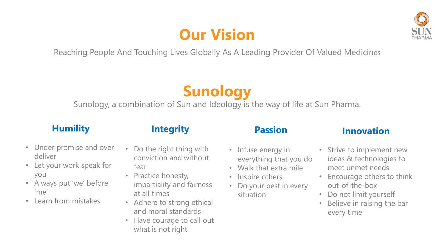# **Our Vision**



Reaching People And Touching Lives Globally As A Leading Provider Of Valued Medicines

# **Sunology**

Sunology, a combination of Sun and Ideology is the way of life at Sun Pharma.

#### **Humility**

- Under promise and over deliver
- Let your work speak for you
- Always put 'we' before 'me'
- Learn from mistakes

Do the right thing with conviction and without fear

**Integrity**

- Practice honesty, impartiality and fairness at all times
- Adhere to strong ethical and moral standards
- Have courage to call out what is not right

#### **Passion**

- Infuse energy in everything that you do
- Walk that extra mile
- Inspire others
- Do your best in every situation

#### **Innovation**

- Strive to implement new ideas & technologies to meet unmet needs
- Encourage others to think out-of-the-box
- Do not limit yourself
- Believe in raising the bar every time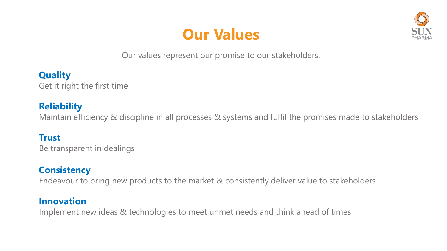# **Our Values**



Our values represent our promise to our stakeholders.

**Quality**  Get it right the first time

#### **Reliability**

Maintain efficiency & discipline in all processes & systems and fulfil the promises made to stakeholders

#### **Trust**

Be transparent in dealings

#### **Consistency**

Endeavour to bring new products to the market & consistently deliver value to stakeholders

#### **Innovation**

Implement new ideas & technologies to meet unmet needs and think ahead of times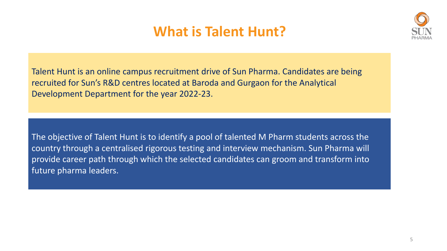# **What is Talent Hunt?**



Talent Hunt is an online campus recruitment drive of Sun Pharma. Candidates are being recruited for Sun's R&D centres located at Baroda and Gurgaon for the Analytical Development Department for the year 2022-23.

The objective of Talent Hunt is to identify a pool of talented M Pharm students across the country through a centralised rigorous testing and interview mechanism. Sun Pharma will provide career path through which the selected candidates can groom and transform into future pharma leaders.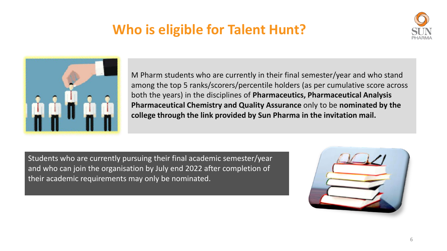# **Who is eligible for Talent Hunt?**





M Pharm students who are currently in their final semester/year and who stand among the top 5 ranks/scorers/percentile holders (as per cumulative score across both the years) in the disciplines of **Pharmaceutics, Pharmaceutical Analysis Pharmaceutical Chemistry and Quality Assurance** only to be **nominated by the college through the link provided by Sun Pharma in the invitation mail.**

Students who are currently pursuing their final academic semester/year and who can join the organisation by July end 2022 after completion of their academic requirements may only be nominated.

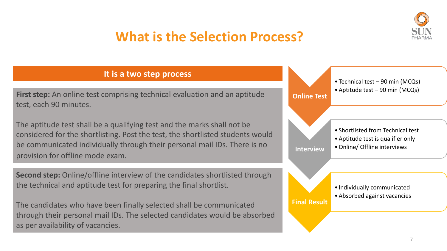

### **What is the Selection Process?**

#### **It is a two step process**

**First step:** An online test comprising technical evaluation and an aptitude test, each 90 minutes.

The aptitude test shall be a qualifying test and the marks shall not be considered for the shortlisting. Post the test, the shortlisted students would be communicated individually through their personal mail IDs. There is no provision for offline mode exam.

**Second step:** Online/offline interview of the candidates shortlisted through the technical and aptitude test for preparing the final shortlist.

The candidates who have been finally selected shall be communicated through their personal mail IDs. The selected candidates would be absorbed as per availability of vacancies.

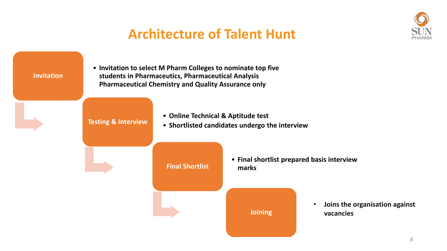

# **Architecture of Talent Hunt**

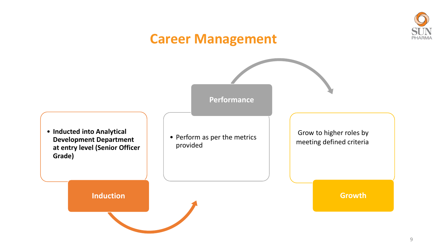### **Career Management**

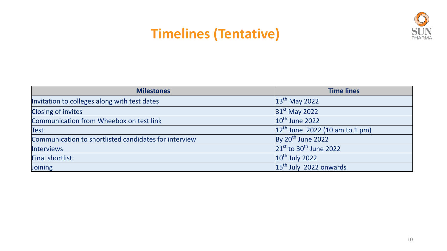### **Timelines (Tentative)**



| <b>Milestones</b>                                     | <b>Time lines</b>                       |
|-------------------------------------------------------|-----------------------------------------|
| Invitation to colleges along with test dates          | $13th$ May 2022                         |
| <b>Closing of invites</b>                             | 31 <sup>st</sup> May 2022               |
| Communication from Wheebox on test link               | $10th$ June 2022                        |
| <b>Test</b>                                           | $12^{th}$ June 2022 (10 am to 1 pm)     |
| Communication to shortlisted candidates for interview | By $20th$ June 2022                     |
| <b>Interviews</b>                                     | $21^{st}$ to 30 <sup>th</sup> June 2022 |
| <b>Final shortlist</b>                                | $10th$ July 2022                        |
| Joining                                               | $15th$ July 2022 onwards                |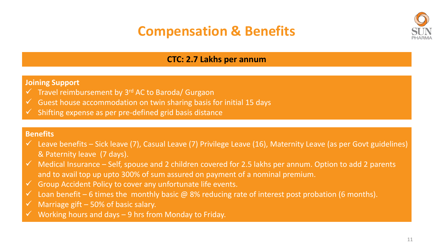### **Compensation & Benefits**



#### **CTC: 2.7 Lakhs per annum**

#### **Joining Support**

- $\checkmark$  Travel reimbursement by 3<sup>rd</sup> AC to Baroda/ Gurgaon
- Guest house accommodation on twin sharing basis for initial 15 days
- Shifting expense as per pre-defined grid basis distance

#### **Benefits**

- $\checkmark$  Leave benefits Sick leave (7), Casual Leave (7) Privilege Leave (16), Maternity Leave (as per Govt guidelines) & Paternity leave (7 days).
- $\checkmark$  Medical Insurance Self, spouse and 2 children covered for 2.5 lakhs per annum. Option to add 2 parents and to avail top up upto 300% of sum assured on payment of a nominal premium.
- $\checkmark$  Group Accident Policy to cover any unfortunate life events.
- $\checkmark$  Loan benefit 6 times the monthly basic @ 8% reducing rate of interest post probation (6 months).
- Marriage gift  $-50\%$  of basic salary.
- Working hours and days 9 hrs from Monday to Friday.